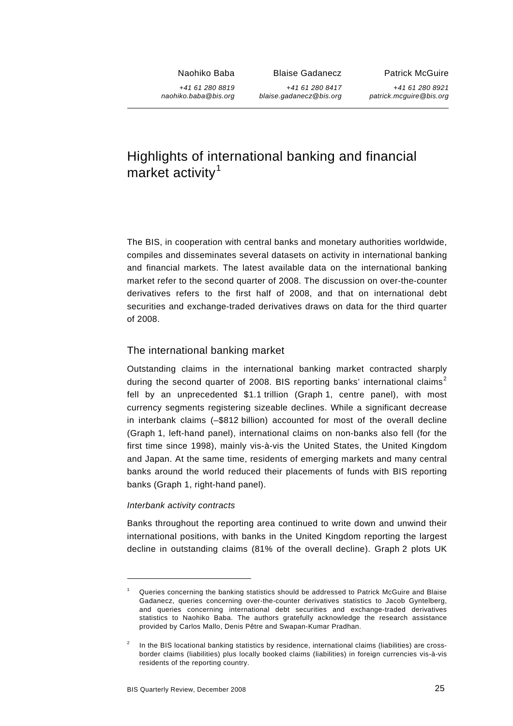Naohiko Baba

+*41 61 280 8819 naohiko.baba@bis.org* Blaise Gadanecz +*41 61 280 8417*

*blaise.gadanecz@bis.org*

+*41 61 280 8921*

*patrick.mcguire@bis.org*

Patrick McGuire

# Highlights of international banking and financial market activity<sup>[1](#page-0-0)</sup>

The BIS, in cooperation with central banks and monetary authorities worldwide, compiles and disseminates several datasets on activity in international banking and financial markets. The latest available data on the international banking market refer to the second quarter of 2008. The discussion on over-the-counter derivatives refers to the first half of 2008, and that on international debt securities and exchange-traded derivatives draws on data for the third quarter of 2008.

# The international banking market

Outstanding claims in the international banking market contracted sharply during the second quarter of [2](#page-0-1)008. BIS reporting banks' international claims<sup>2</sup> fell by an unprecedented \$1.1 trillion (Graph 1, centre panel), with most currency segments registering sizeable declines. While a significant decrease in interbank claims (–\$812 billion) accounted for most of the overall decline (Graph 1, left-hand panel), international claims on non-banks also fell (for the first time since 1998), mainly vis-à-vis the United States, the United Kingdom and Japan. At the same time, residents of emerging markets and many central banks around the world reduced their placements of funds with BIS reporting banks (Graph 1, right-hand panel).

## *Interbank activity contracts*

l

Banks throughout the reporting area continued to write down and unwind their international positions, with banks in the United Kingdom reporting the largest decline in outstanding claims (81% of the overall decline). Graph 2 plots UK

<span id="page-0-0"></span><sup>1</sup> Queries concerning the banking statistics should be addressed to Patrick McGuire and Blaise Gadanecz, queries concerning over-the-counter derivatives statistics to Jacob Gyntelberg, and queries concerning international debt securities and exchange-traded derivatives statistics to Naohiko Baba. The authors gratefully acknowledge the research assistance provided by Carlos Mallo, Denis Pêtre and Swapan-Kumar Pradhan.

<span id="page-0-1"></span><sup>2</sup> In the BIS locational banking statistics by residence, international claims (liabilities) are crossborder claims (liabilities) plus locally booked claims (liabilities) in foreign currencies vis-à-vis residents of the reporting country.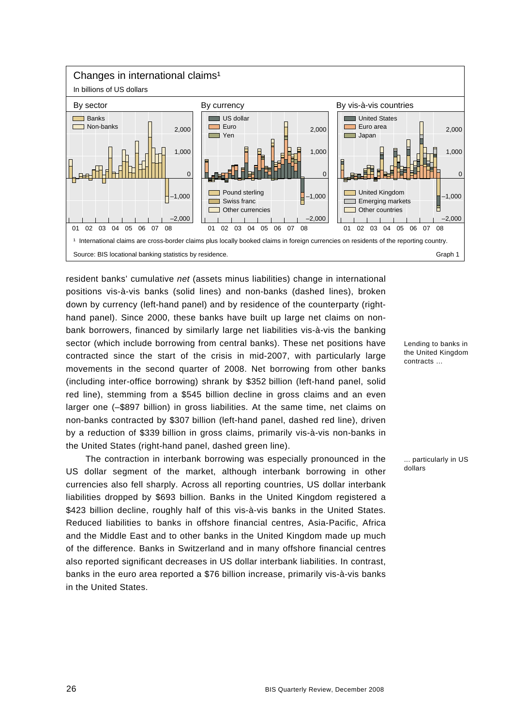

resident banks' cumulative *net* (assets minus liabilities) change in international positions vis-à-vis banks (solid lines) and non-banks (dashed lines), broken down by currency (left-hand panel) and by residence of the counterparty (righthand panel). Since 2000, these banks have built up large net claims on nonbank borrowers, financed by similarly large net liabilities vis-à-vis the banking sector (which include borrowing from central banks). These net positions have contracted since the start of the crisis in mid-2007, with particularly large movements in the second quarter of 2008. Net borrowing from other banks (including inter-office borrowing) shrank by \$352 billion (left-hand panel, solid red line), stemming from a \$545 billion decline in gross claims and an even larger one (–\$897 billion) in gross liabilities. At the same time, net claims on non-banks contracted by \$307 billion (left-hand panel, dashed red line), driven by a reduction of \$339 billion in gross claims, primarily vis-à-vis non-banks in the United States (right-hand panel, dashed green line).

The contraction in interbank borrowing was especially pronounced in the US dollar segment of the market, although interbank borrowing in other currencies also fell sharply. Across all reporting countries, US dollar interbank liabilities dropped by \$693 billion. Banks in the United Kingdom registered a \$423 billion decline, roughly half of this vis-à-vis banks in the United States. Reduced liabilities to banks in offshore financial centres, Asia-Pacific, Africa and the Middle East and to other banks in the United Kingdom made up much of the difference. Banks in Switzerland and in many offshore financial centres also reported significant decreases in US dollar interbank liabilities. In contrast, banks in the euro area reported a \$76 billion increase, primarily vis-à-vis banks in the United States.

Lending to banks in the United Kingdom contracts …

... particularly in US dollars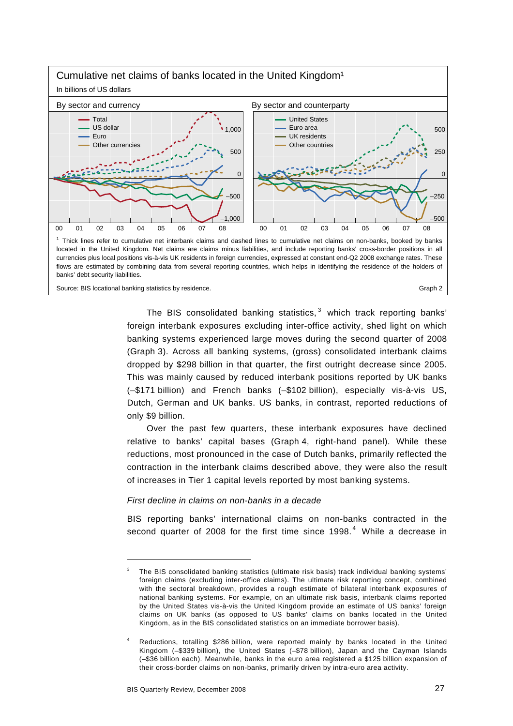

The BIS consolidated banking statistics, $<sup>3</sup>$  $<sup>3</sup>$  $<sup>3</sup>$  which track reporting banks'</sup> foreign interbank exposures excluding inter-office activity, shed light on which banking systems experienced large moves during the second quarter of 2008 (Graph 3). Across all banking systems, (gross) consolidated interbank claims dropped by \$298 billion in that quarter, the first outright decrease since 2005. This was mainly caused by reduced interbank positions reported by UK banks (–\$171 billion) and French banks (–\$102 billion), especially vis-à-vis US, Dutch, German and UK banks. US banks, in contrast, reported reductions of only \$9 billion.

Over the past few quarters, these interbank exposures have declined relative to banks' capital bases (Graph 4, right-hand panel). While these reductions, most pronounced in the case of Dutch banks, primarily reflected the contraction in the interbank claims described above, they were also the result of increases in Tier 1 capital levels reported by most banking systems.

### *First decline in claims on non-banks in a decade*

BIS reporting banks' international claims on non-banks contracted in the second quarter of 2008 for the first time since 1998. $<sup>4</sup>$  $<sup>4</sup>$  $<sup>4</sup>$  While a decrease in</sup>

<span id="page-2-0"></span><sup>3</sup> The BIS consolidated banking statistics (ultimate risk basis) track individual banking systems' foreign claims (excluding inter-office claims). The ultimate risk reporting concept, combined with the sectoral breakdown, provides a rough estimate of bilateral interbank exposures of national banking systems. For example, on an ultimate risk basis, interbank claims reported by the United States vis-à-vis the United Kingdom provide an estimate of US banks' foreign claims on UK banks (as opposed to US banks' claims on banks located in the United Kingdom, as in the BIS consolidated statistics on an immediate borrower basis).

<span id="page-2-1"></span><sup>4</sup> Reductions, totalling \$286 billion, were reported mainly by banks located in the United Kingdom (–\$339 billion), the United States (–\$78 billion), Japan and the Cayman Islands (–\$36 billion each). Meanwhile, banks in the euro area registered a \$125 billion expansion of their cross-border claims on non-banks, primarily driven by intra-euro area activity.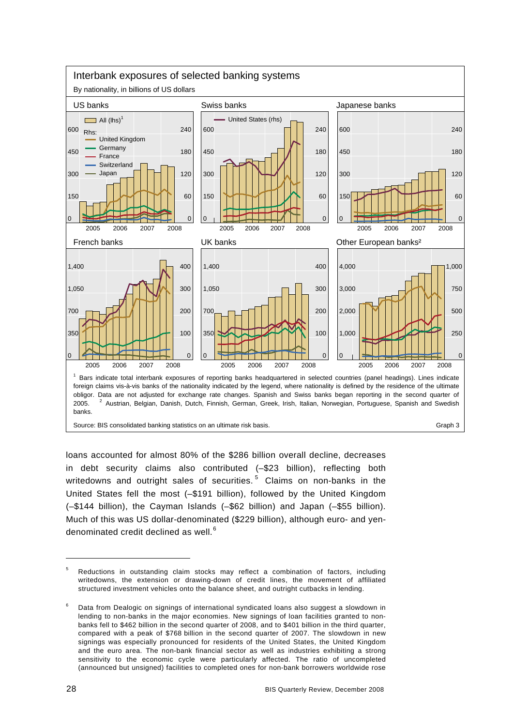

loans accounted for almost 80% of the \$286 billion overall decline, decreases in debt security claims also contributed (–\$23 billion), reflecting both writedowns and outright sales of securities.<sup>[5](#page-3-0)</sup> Claims on non-banks in the United States fell the most (–\$191 billion), followed by the United Kingdom (–\$144 billion), the Cayman Islands (–\$62 billion) and Japan (–\$55 billion). Much of this was US dollar-denominated (\$229 billion), although euro- and yendenominated credit declined as well.  $^6$  $^6$ 

<span id="page-3-0"></span><sup>5</sup> Reductions in outstanding claim stocks may reflect a combination of factors, including writedowns, the extension or drawing-down of credit lines, the movement of affiliated structured investment vehicles onto the balance sheet, and outright cutbacks in lending.

<span id="page-3-1"></span><sup>6</sup> Data from Dealogic on signings of international syndicated loans also suggest a slowdown in lending to non-banks in the major economies. New signings of loan facilities granted to nonbanks fell to \$462 billion in the second quarter of 2008, and to \$401 billion in the third quarter, compared with a peak of \$768 billion in the second quarter of 2007. The slowdown in new signings was especially pronounced for residents of the United States, the United Kingdom and the euro area. The non-bank financial sector as well as industries exhibiting a strong sensitivity to the economic cycle were particularly affected. The ratio of uncompleted (announced but unsigned) facilities to completed ones for non-bank borrowers worldwide rose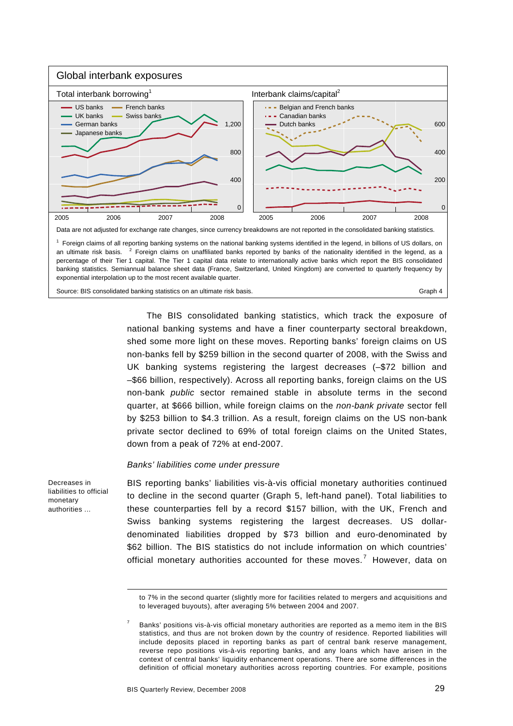

The BIS consolidated banking statistics, which track the exposure of national banking systems and have a finer counterparty sectoral breakdown, shed some more light on these moves. Reporting banks' foreign claims on US non-banks fell by \$259 billion in the second quarter of 2008, with the Swiss and UK banking systems registering the largest decreases (–\$72 billion and –\$66 billion, respectively). Across all reporting banks, foreign claims on the US non-bank *public* sector remained stable in absolute terms in the second quarter, at \$666 billion, while foreign claims on the *non-bank private* sector fell by \$253 billion to \$4.3 trillion. As a result, foreign claims on the US non-bank private sector declined to 69% of total foreign claims on the United States, down from a peak of 72% at end-2007.

#### *Banks' liabilities come under pressure*

Decreases in liabilities to official monetary authorities ...

l

BIS reporting banks' liabilities vis-à-vis official monetary authorities continued to decline in the second quarter (Graph 5, left-hand panel). Total liabilities to these counterparties fell by a record \$157 billion, with the UK, French and Swiss banking systems registering the largest decreases. US dollardenominated liabilities dropped by \$73 billion and euro-denominated by \$62 billion. The BIS statistics do not include information on which countries' official monetary authorities accounted for these moves.<sup>[7](#page-4-0)</sup> However, data on

to 7% in the second quarter (slightly more for facilities related to mergers and acquisitions and to leveraged buyouts), after averaging 5% between 2004 and 2007.

<span id="page-4-0"></span><sup>7</sup> Banks' positions vis-à-vis official monetary authorities are reported as a memo item in the BIS statistics, and thus are not broken down by the country of residence. Reported liabilities will include deposits placed in reporting banks as part of central bank reserve management, reverse repo positions vis-à-vis reporting banks, and any loans which have arisen in the context of central banks' liquidity enhancement operations. There are some differences in the definition of official monetary authorities across reporting countries. For example, positions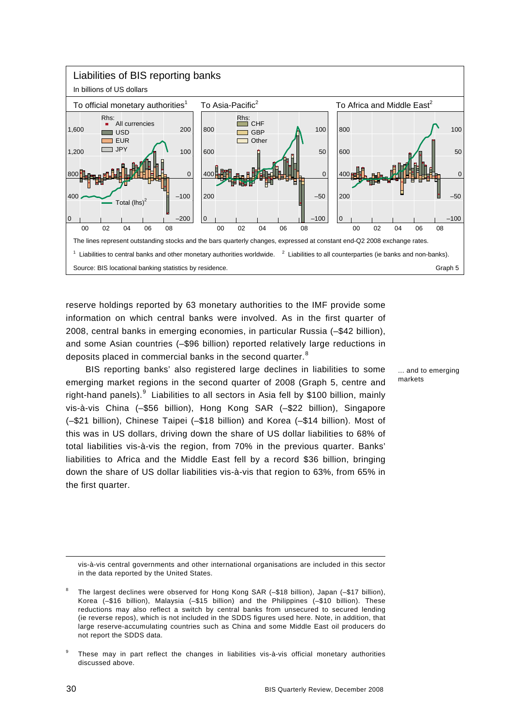

reserve holdings reported by 63 monetary authorities to the IMF provide some information on which central banks were involved. As in the first quarter of 2008, central banks in emerging economies, in particular Russia (–\$42 billion), and some Asian countries (–\$96 billion) reported relatively large reductions in deposits placed in commercial banks in the second quarter. $8$ 

BIS reporting banks' also registered large declines in liabilities to some emerging market regions in the second quarter of 2008 (Graph 5, centre and right-hand panels).  $9$  Liabilities to all sectors in Asia fell by \$100 billion, mainly vis-à-vis China (–\$56 billion), Hong Kong SAR (–\$22 billion), Singapore (–\$21 billion), Chinese Taipei (–\$18 billion) and Korea (–\$14 billion). Most of this was in US dollars, driving down the share of US dollar liabilities to 68% of total liabilities vis-à-vis the region, from 70% in the previous quarter. Banks' liabilities to Africa and the Middle East fell by a record \$36 billion, bringing down the share of US dollar liabilities vis-à-vis that region to 63%, from 65% in the first quarter.

... and to emerging markets

-

vis-à-vis central governments and other international organisations are included in this sector in the data reported by the United States.

<span id="page-5-0"></span><sup>8</sup> The largest declines were observed for Hong Kong SAR (–\$18 billion), Japan (–\$17 billion), Korea (–\$16 billion), Malaysia (–\$15 billion) and the Philippines (–\$10 billion). These reductions may also reflect a switch by central banks from unsecured to secured lending (ie reverse repos), which is not included in the SDDS figures used here. Note, in addition, that large reserve-accumulating countries such as China and some Middle East oil producers do not report the SDDS data.

<span id="page-5-1"></span><sup>9</sup> These may in part reflect the changes in liabilities vis-à-vis official monetary authorities discussed above.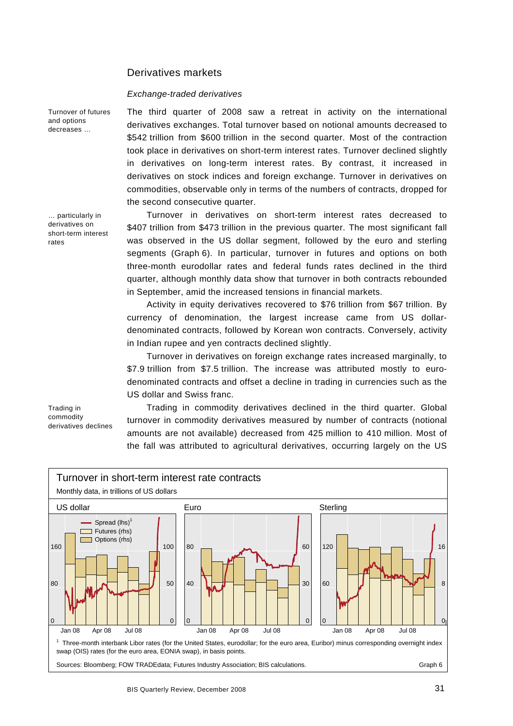## Derivatives markets

#### *Exchange-traded derivatives*

Turnover of futures and options decreases …

… particularly in derivatives on short-term interest rates

Trading in commodity

derivatives declines

commodities, observable only in terms of the numbers of contracts, dropped for the second consecutive quarter. Turnover in derivatives on short-term interest rates decreased to \$407 trillion from \$473 trillion in the previous quarter. The most significant fall was observed in the US dollar segment, followed by the euro and sterling segments (Graph 6). In particular, turnover in futures and options on both three-month eurodollar rates and federal funds rates declined in the third quarter, although monthly data show that turnover in both contracts rebounded

The third quarter of 2008 saw a retreat in activity on the international derivatives exchanges. Total turnover based on notional amounts decreased to \$542 trillion from \$600 trillion in the second quarter. Most of the contraction took place in derivatives on short-term interest rates. Turnover declined slightly in derivatives on long-term interest rates. By contrast, it increased in derivatives on stock indices and foreign exchange. Turnover in derivatives on

Activity in equity derivatives recovered to \$76 trillion from \$67 trillion. By currency of denomination, the largest increase came from US dollardenominated contracts, followed by Korean won contracts. Conversely, activity in Indian rupee and yen contracts declined slightly.

in September, amid the increased tensions in financial markets.

Turnover in derivatives on foreign exchange rates increased marginally, to \$7.9 trillion from \$7.5 trillion. The increase was attributed mostly to eurodenominated contracts and offset a decline in trading in currencies such as the US dollar and Swiss franc.

Trading in commodity derivatives declined in the third quarter. Global turnover in commodity derivatives measured by number of contracts (notional amounts are not available) decreased from 425 million to 410 million. Most of the fall was attributed to agricultural derivatives, occurring largely on the US

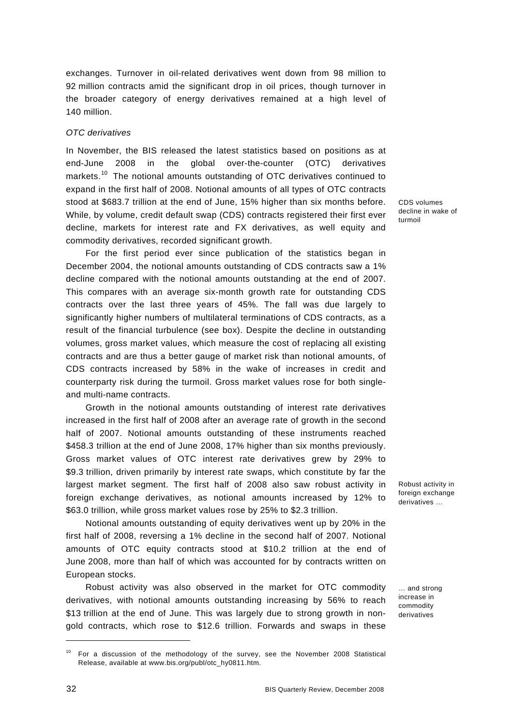exchanges. Turnover in oil-related derivatives went down from 98 million to 92 million contracts amid the significant drop in oil prices, though turnover in the broader category of energy derivatives remained at a high level of 140 million.

#### *OTC derivatives*

In November, the BIS released the latest statistics based on positions as at end-June 2008 in the global over-the-counter (OTC) derivatives markets.<sup>[10](#page-7-0)</sup> The notional amounts outstanding of OTC derivatives continued to expand in the first half of 2008. Notional amounts of all types of OTC contracts stood at \$683.7 trillion at the end of June, 15% higher than six months before. While, by volume, credit default swap (CDS) contracts registered their first ever decline, markets for interest rate and FX derivatives, as well equity and commodity derivatives, recorded significant growth.

For the first period ever since publication of the statistics began in December 2004, the notional amounts outstanding of CDS contracts saw a 1% decline compared with the notional amounts outstanding at the end of 2007. This compares with an average six-month growth rate for outstanding CDS contracts over the last three years of 45%. The fall was due largely to significantly higher numbers of multilateral terminations of CDS contracts, as a result of the financial turbulence (see box). Despite the decline in outstanding volumes, gross market values, which measure the cost of replacing all existing contracts and are thus a better gauge of market risk than notional amounts, of CDS contracts increased by 58% in the wake of increases in credit and counterparty risk during the turmoil. Gross market values rose for both singleand multi-name contracts.

Growth in the notional amounts outstanding of interest rate derivatives increased in the first half of 2008 after an average rate of growth in the second half of 2007. Notional amounts outstanding of these instruments reached \$458.3 trillion at the end of June 2008, 17% higher than six months previously. Gross market values of OTC interest rate derivatives grew by 29% to \$9.3 trillion, driven primarily by interest rate swaps, which constitute by far the largest market segment. The first half of 2008 also saw robust activity in foreign exchange derivatives, as notional amounts increased by 12% to \$63.0 trillion, while gross market values rose by 25% to \$2.3 trillion.

Notional amounts outstanding of equity derivatives went up by 20% in the first half of 2008, reversing a 1% decline in the second half of 2007. Notional amounts of OTC equity contracts stood at \$10.2 trillion at the end of June 2008, more than half of which was accounted for by contracts written on European stocks.

Robust activity was also observed in the market for OTC commodity derivatives, with notional amounts outstanding increasing by 56% to reach \$13 trillion at the end of June. This was largely due to strong growth in nongold contracts, which rose to \$12.6 trillion. Forwards and swaps in these CDS volumes decline in wake of turmoil

Robust activity in foreign exchange derivatives …

… and strong increase in commodity derivatives

<span id="page-7-0"></span><sup>&</sup>lt;sup>10</sup> For a discussion of the methodology of the survey, see the November 2008 Statistical Release, available at www.bis.org/publ/otc\_hy0811.htm.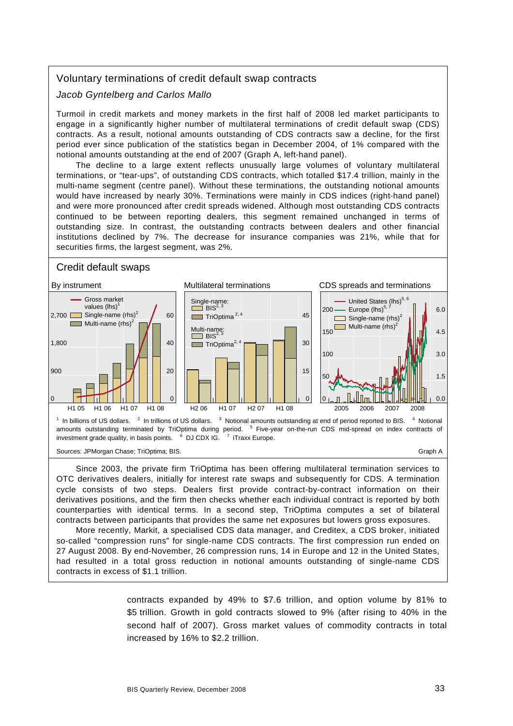# Voluntary terminations of credit default swap contracts

*Jacob Gyntelberg and Carlos Mallo* 

Turmoil in credit markets and money markets in the first half of 2008 led market participants to engage in a significantly higher number of multilateral terminations of credit default swap (CDS) contracts. As a result, notional amounts outstanding of CDS contracts saw a decline, for the first period ever since publication of the statistics began in December 2004, of 1% compared with the notional amounts outstanding at the end of 2007 (Graph A, left-hand panel).

The decline to a large extent reflects unusually large volumes of voluntary multilateral terminations, or "tear-ups", of outstanding CDS contracts, which totalled \$17.4 trillion, mainly in the multi-name segment (centre panel). Without these terminations, the outstanding notional amounts would have increased by nearly 30%. Terminations were mainly in CDS indices (right-hand panel) and were more pronounced after credit spreads widened. Although most outstanding CDS contracts continued to be between reporting dealers, this segment remained unchanged in terms of outstanding size. In contrast, the outstanding contracts between dealers and other financial institutions declined by 7%. The decrease for insurance companies was 21%, while that for securities firms, the largest segment, was 2%.

## Credit default swaps



Since 2003, the private firm TriOptima has been offering multilateral termination services to OTC derivatives dealers, initially for interest rate swaps and subsequently for CDS. A termination cycle consists of two steps. Dealers first provide contract-by-contract information on their derivatives positions, and the firm then checks whether each individual contract is reported by both counterparties with identical terms. In a second step, TriOptima computes a set of bilateral contracts between participants that provides the same net exposures but lowers gross exposures.

More recently, Markit, a specialised CDS data manager, and Creditex, a CDS broker, initiated so-called "compression runs" for single-name CDS contracts. The first compression run ended on 27 August 2008. By end-November, 26 compression runs, 14 in Europe and 12 in the United States, had resulted in a total gross reduction in notional amounts outstanding of single-name CDS contracts in excess of \$1.1 trillion.

> contracts expanded by 49% to \$7.6 trillion, and option volume by 81% to \$5 trillion. Growth in gold contracts slowed to 9% (after rising to 40% in the second half of 2007). Gross market values of commodity contracts in total increased by 16% to \$2.2 trillion.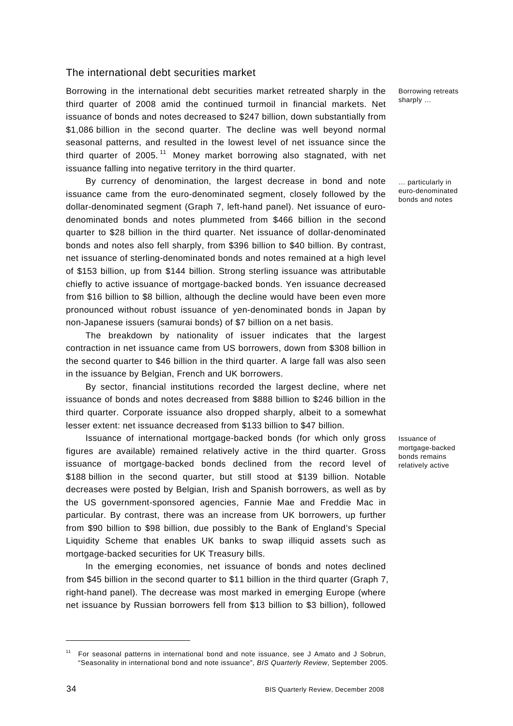## The international debt securities market

Borrowing in the international debt securities market retreated sharply in the third quarter of 2008 amid the continued turmoil in financial markets. Net issuance of bonds and notes decreased to \$247 billion, down substantially from \$1,086 billion in the second quarter. The decline was well beyond normal seasonal patterns, and resulted in the lowest level of net issuance since the third quarter of  $2005$ .<sup>[11](#page-9-0)</sup> Money market borrowing also stagnated, with net issuance falling into negative territory in the third quarter.

By currency of denomination, the largest decrease in bond and note issuance came from the euro-denominated segment, closely followed by the dollar-denominated segment (Graph 7, left-hand panel). Net issuance of eurodenominated bonds and notes plummeted from \$466 billion in the second quarter to \$28 billion in the third quarter. Net issuance of dollar-denominated bonds and notes also fell sharply, from \$396 billion to \$40 billion. By contrast, net issuance of sterling-denominated bonds and notes remained at a high level of \$153 billion, up from \$144 billion. Strong sterling issuance was attributable chiefly to active issuance of mortgage-backed bonds. Yen issuance decreased from \$16 billion to \$8 billion, although the decline would have been even more pronounced without robust issuance of yen-denominated bonds in Japan by non-Japanese issuers (samurai bonds) of \$7 billion on a net basis.

The breakdown by nationality of issuer indicates that the largest contraction in net issuance came from US borrowers, down from \$308 billion in the second quarter to \$46 billion in the third quarter. A large fall was also seen in the issuance by Belgian, French and UK borrowers.

By sector, financial institutions recorded the largest decline, where net issuance of bonds and notes decreased from \$888 billion to \$246 billion in the third quarter. Corporate issuance also dropped sharply, albeit to a somewhat lesser extent: net issuance decreased from \$133 billion to \$47 billion.

Issuance of international mortgage-backed bonds (for which only gross figures are available) remained relatively active in the third quarter. Gross issuance of mortgage-backed bonds declined from the record level of \$188 billion in the second quarter, but still stood at \$139 billion. Notable decreases were posted by Belgian, Irish and Spanish borrowers, as well as by the US government-sponsored agencies, Fannie Mae and Freddie Mac in particular. By contrast, there was an increase from UK borrowers, up further from \$90 billion to \$98 billion, due possibly to the Bank of England's Special Liquidity Scheme that enables UK banks to swap illiquid assets such as mortgage-backed securities for UK Treasury bills.

In the emerging economies, net issuance of bonds and notes declined from \$45 billion in the second quarter to \$11 billion in the third quarter (Graph 7, right-hand panel). The decrease was most marked in emerging Europe (where net issuance by Russian borrowers fell from \$13 billion to \$3 billion), followed

Borrowing retreats sharply …

… particularly in euro-denominated bonds and notes

Issuance of mortgage-backed bonds remains relatively active

<span id="page-9-0"></span><sup>&</sup>lt;sup>11</sup> For seasonal patterns in international bond and note issuance, see J Amato and J Sobrun, "Seasonality in international bond and note issuance", *BIS Quarterly Review*, September 2005.